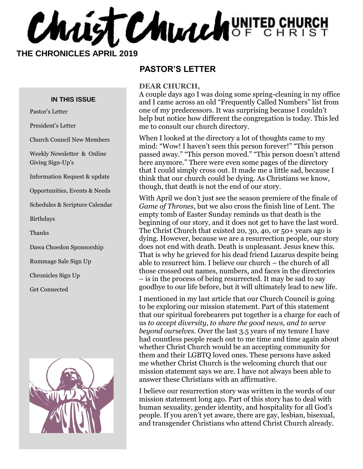Christ Church UNITED CHURCH

 **THE CHRONICLES APRIL 2019**

#### **IN THIS ISSUE**

Pastor's Letter

President's Letter

Church Council New Members

Weekly Newsletter & Online Giving Sign-Up's

Information Request & update

Opportunities, Events & Needs

Schedules & Scripture Calendar

Birthdays

Thanks

Dawa Choedon Sponsorship

Rummage Sale Sign Up

Chronicles Sign Up

Get Connected



#### **PASTOR'S LETTER**

#### **DEAR CHURCH,**

A couple days ago I was doing some spring-cleaning in my office and I came across an old "Frequently Called Numbers" list from one of my predecessors. It was surprising because I couldn't help but notice how different the congregation is today. This led me to consult our church directory.

When I looked at the directory a lot of thoughts came to my mind: "Wow! I haven't seen this person forever!" "This person passed away." "This person moved." "This person doesn't attend here anymore." There were even some pages of the directory that I could simply cross out. It made me a little sad, because I think that our church could be dying. As Christians we know, though, that death is not the end of our story.

With April we don't just see the season premiere of the finale of *Game of Thrones*, but we also cross the finish line of Lent. The empty tomb of Easter Sunday reminds us that death is the beginning of our story, and it does not get to have the last word. The Christ Church that existed 20, 30, 40, or 50+ years ago is dying. However, because we are a resurrection people, our story does not end with death. Death is unpleasant. Jesus knew this. That is why he grieved for his dead friend Lazarus despite being able to resurrect him. I believe our church – the church of all those crossed out names, numbers, and faces in the directories – is in the process of being resurrected. It may be sad to say goodbye to our life before, but it will ultimately lead to new life.

I mentioned in my last article that our Church Council is going to be exploring our mission statement. Part of this statement that our spiritual forebearers put together is a charge for each of us *to accept diversity, to share the good news, and to serve beyond ourselves.* Over the last 3.5 years of my tenure I have had countless people reach out to me time and time again about whether Christ Church would be an accepting community for them and their LGBTQ loved ones. These persons have asked me whether Christ Church is the welcoming church that our mission statement says we are. I have not always been able to answer these Christians with an affirmative.

I believe our resurrection story was written in the words of our mission statement long ago. Part of this story has to deal with human sexuality, gender identity, and hospitality for all God's people. If you aren't yet aware, there are gay, lesbian, bisexual, and transgender Christians who attend Christ Church already.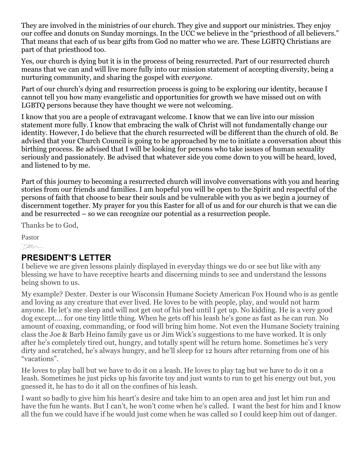They are involved in the ministries of our church. They give and support our ministries. They enjoy our coffee and donuts on Sunday mornings. In the UCC we believe in the "priesthood of all believers." That means that each of us bear gifts from God no matter who we are. These LGBTQ Christians are part of that priesthood too.

Yes, our church is dying but it is in the process of being resurrected. Part of our resurrected church means that we can and will live more fully into our mission statement of accepting diversity, being a nurturing community, and sharing the gospel with *everyone.* 

Part of our church's dying and resurrection process is going to be exploring our identity, because I cannot tell you how many evangelistic and opportunities for growth we have missed out on with LGBTQ persons because they have thought we were not welcoming.

I know that you are a people of extravagant welcome. I know that we can live into our mission statement more fully. I know that embracing the walk of Christ will not fundamentally change our identity. However, I do believe that the church resurrected will be different than the church of old. Be advised that your Church Council is going to be approached by me to initiate a conversation about this birthing process. Be advised that I will be looking for persons who take issues of human sexuality seriously and passionately. Be advised that whatever side you come down to you will be heard, loved, and listened to by me.

Part of this journey to becoming a resurrected church will involve conversations with you and hearing stories from our friends and families. I am hopeful you will be open to the Spirit and respectful of the persons of faith that choose to bear their souls and be vulnerable with you as we begin a journey of discernment together. My prayer for you this Easter for all of us and for our church is that we can die and be resurrected – so we can recognize our potential as a resurrection people.

Thanks be to God,

Pastor

 $750-$ 

#### **PRESIDENT'S LETTER**

I believe we are given lessons plainly displayed in everyday things we do or see but like with any blessing we have to have receptive hearts and discerning minds to see and understand the lessons being shown to us.

My example? Dexter. Dexter is our Wisconsin Humane Society American Fox Hound who is as gentle and loving as any creature that ever lived. He loves to be with people, play, and would not harm anyone. He let's me sleep and will not get out of his bed until I get up. No kidding. He is a very good dog except…. for one tiny little thing. When he gets off his leash he's gone as fast as he can run. No amount of coaxing, commanding, or food will bring him home. Not even the Humane Society training class the Joe & Barb Heino family gave us or Jim Wick's suggestions to me have worked. It is only after he's completely tired out, hungry, and totally spent will he return home. Sometimes he's very dirty and scratched, he's always hungry, and he'll sleep for 12 hours after returning from one of his "vacations".

He loves to play ball but we have to do it on a leash. He loves to play tag but we have to do it on a leash. Sometimes he just picks up his favorite toy and just wants to run to get his energy out but, you guessed it, he has to do it all on the confines of his leash.

I want so badly to give him his heart's desire and take him to an open area and just let him run and have the fun he wants. But I can't, he won't come when he's called. I want the best for him and I know all the fun we could have if he would just come when he was called so I could keep him out of danger.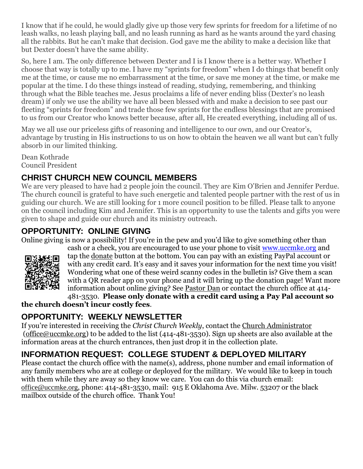I know that if he could, he would gladly give up those very few sprints for freedom for a lifetime of no leash walks, no leash playing ball, and no leash running as hard as he wants around the yard chasing all the rabbits. But he can't make that decision. God gave me the ability to make a decision like that but Dexter doesn't have the same ability.

So, here I am. The only difference between Dexter and I is I know there is a better way. Whether I choose that way is totally up to me. I have my "sprints for freedom" when I do things that benefit only me at the time, or cause me no embarrassment at the time, or save me money at the time, or make me popular at the time. I do these things instead of reading, studying, remembering, and thinking through what the Bible teaches me. Jesus proclaims a life of never ending bliss (Dexter's no leash dream) if only we use the ability we have all been blessed with and make a decision to see past our fleeting "sprints for freedom" and trade those few sprints for the endless blessings that are promised to us from our Creator who knows better because, after all, He created everything, including all of us.

May we all use our priceless gifts of reasoning and intelligence to our own, and our Creator's, advantage by trusting in His instructions to us on how to obtain the heaven we all want but can't fully absorb in our limited thinking.

Dean Kothrade Council President

## **CHRIST CHURCH NEW COUNCIL MEMBERS**

We are very pleased to have had 2 people join the council. They are Kim O'Brien and Jennifer Perdue. The church council is grateful to have such energetic and talented people partner with the rest of us in guiding our church. We are still looking for 1 more council position to be filled. Please talk to anyone on the council including Kim and Jennifer. This is an opportunity to use the talents and gifts you were given to shape and guide our church and its ministry outreach.

## **OPPORTUNITY: ONLINE GIVING**

Online giving is now a possibility! If you're in the pew and you'd like to give something other than



cash or a check, you are encouraged to use your phone to visit [www.uccmke.org](http://www.uccmke.org/) and tap the [donate](https://www.paypal.com/cgi-bin/webscr?cmd=_s-xclick&hosted_button_id=D7W2VTZZBHZNU) button at the bottom. You can pay with an existing PayPal account or with any credit card. It's easy and it saves your information for the next time you visit! Wondering what one of these weird scanny codes in the bulletin is? Give them a scan with a QR reader app on your phone and it will bring up the donation page! Want more information about online giving? See [Pastor Dan](mailto:dan_stark@att.net) or contact the church office at 414-

481-3530. **Please only donate with a credit card using a Pay Pal account so the church doesn't incur costly fees**.

## **OPPORTUNITY: WEEKLY NEWSLETTER**

If you're interested in receiving the *Christ Church Weekly*, contact the [Church Administrator](mailto:christ-church@att.net) (office@uccmke.org) to be added to the list (414-481-3530). Sign up sheets are also available at the information areas at the church entrances, then just drop it in the collection plate.

# **INFORMATION REQUEST: COLLEGE STUDENT & DEPLOYED MILITARY**

Please contact the church office with the name(s), address, phone number and email information of any family members who are at college or deployed for the military. We would like to keep in touch with them while they are away so they know we care. You can do this via church email: office@uccmke.org, phone: 414-481-3530, mail: 915 E Oklahoma Ave. Milw. 53207 or the black mailbox outside of the church office. Thank You!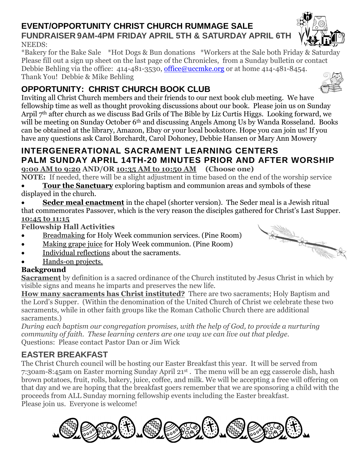#### **EVENT/OPPORTUNITY CHRIST CHURCH RUMMAGE SALE FUNDRAISER 9AM-4PM FRIDAY APRIL 5TH & SATURDAY APRIL 6TH** NEEDS:

\*Bakery for the Bake Sale \*Hot Dogs & Bun donations \*Workers at the Sale both Friday & Saturday Please fill out a sign up sheet on the last page of the Chronicles, from a Sunday bulletin or contact Debbie Behling via the office: 414-481-3530, [office@uccmke.org](mailto:office@uccmke.org) or at home 414-481-8454. Thank You! Debbie & Mike Behling

# **OPPORTUNITY: CHRIST CHURCH BOOK CLUB**

Inviting all Christ Church members and their friends to our next book club meeting. We have fellowship time as well as thought provoking discussions about our book. Please join us on Sunday Arpil 7th after church as we discuss Bad Grils of The Bible by Liz Curtis Higgs. Looking forward, we will be meeting on Sunday October 6<sup>th</sup> and discussing Angels Among Us by Wanda Rosseland. Books can be obtained at the library, Amazon, Ebay or your local bookstore. Hope you can join us! If you have any questions ask Carol Borchardt, Carol Dohoney, Debbie Hansen or Mary Ann Mowery

# **INTERGENERATIONAL SACRAMENT LEARNING CENTERS PALM SUNDAY APRIL 14TH-20 MINUTES PRIOR AND AFTER WORSHIP**

**9:00 AM to 9:20 AND/OR 10:35 AM to 10:50 AM (Choose one)** 

**NOTE:** If needed, there will be a slight adjustment in time based on the end of the worship service

- **Tour the Sanctuary** exploring baptism and communion areas and symbols of these displayed in the church.
- **Seder meal enactment** in the chapel (shorter version). The Seder meal is a Jewish ritual that commemorates Passover, which is the very reason the disciples gathered for Christ's Last Supper. **10:45 to 11:15**

**Fellowship Hall Activities**

- Breadmaking for Holy Week communion services. (Pine Room)
- Making grape juice for Holy Week communion. (Pine Room)
- Individual reflections about the sacraments.
- Hands-on projects.

## **Background**

**Sacrament** by definition is a sacred ordinance of the Church instituted by Jesus Christ in which by visible signs and means he imparts and preserves the new life.

**How many sacraments has Christ instituted?** There are two sacraments; Holy Baptism and the Lord's Supper. (Within the denomination of the United Church of Christ we celebrate these two sacraments, while in other faith groups like the Roman Catholic Church there are additional sacraments.)

*During each baptism our congregation promises, with the help of God, to provide a nurturing community of faith. These learning centers are one way we can live out that pledge.* Questions: Please contact Pastor Dan or Jim Wick

# **EASTER BREAKFAST**

The Christ Church council will be hosting our Easter Breakfast this year. It will be served from 7:30am-8:45am on Easter morning Sunday April 21st . The menu will be an egg casserole dish, hash brown potatoes, fruit, rolls, bakery, juice, coffee, and milk. We will be accepting a free will offering on that day and we are hoping that the breakfast goers remember that we are sponsoring a child with the proceeds from ALL Sunday morning fellowship events including the Easter breakfast. Please join us. Everyone is welcome!







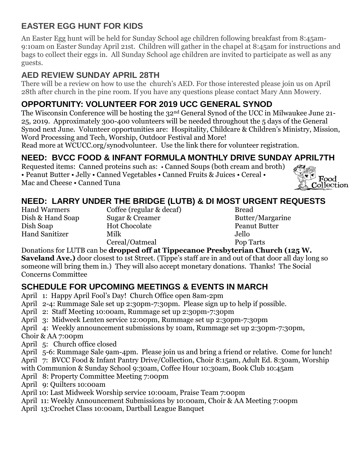## **EASTER EGG HUNT FOR KIDS**

An Easter Egg hunt will be held for Sunday School age children following breakfast from 8:45am-9:10am on Easter Sunday April 21st. Children will gather in the chapel at 8:45am for instructions and bags to collect their eggs in. All Sunday School age children are invited to participate as well as any guests.

## **AED REVIEW SUNDAY APRIL 28TH**

There will be a review on how to use the church's AED. For those interested please join us on April 28th after church in the pine room. If you have any questions please contact Mary Ann Mowery.

## **OPPORTUNITY: VOLUNTEER FOR 2019 UCC GENERAL SYNOD**

The Wisconsin Conference will be hosting the 32nd General Synod of the UCC in Milwaukee June 21- 25, 2019. Approximately 300-400 volunteers will be needed throughout the 5 days of the General Synod next June. Volunteer opportunities are: Hospitality, Childcare & Children's Ministry, Mission, Word Processing and Tech, Worship, Outdoor Festival and More!

Read more at WCUCC.org/synodvolunteer. Use the link there for volunteer registration.

# **NEED: BVCC FOOD & INFANT FORMULA MONTHLY DRIVE SUNDAY APRIL7TH**

Requested items: Canned proteins such as: • Canned Soups (both cream and broth) • Peanut Butter • Jelly • Canned Vegetables • Canned Fruits & Juices • Cereal • Mac and Cheese • Canned Tuna



## **NEED: LARRY UNDER THE BRIDGE (LUTB) & DI MOST URGENT REQUESTS**

Hand Warmers Coffee (regular & decaf) Bread Dish & Hand Soap Sugar & Creamer Butter/Margarine Dish Soap Hot Chocolate Peanut Butter Hand Sanitizer Milk Jello Cereal/Oatmeal Pop Tarts

#### Donations for LUTB can be **dropped off at Tippecanoe Presbyterian Church (125 W.**

**Saveland Ave.)** door closest to 1st Street. (Tippe's staff are in and out of that door all day long so someone will bring them in.) They will also accept monetary donations. Thanks! The Social Concerns Committee

## **SCHEDULE FOR UPCOMING MEETINGS & EVENTS IN MARCH**

- April 1: Happy April Fool's Day! Church Office open 8am-2pm
- April 2-4: Rummage Sale set up 2:30pm-7:30pm. Please sign up to help if possible.
- April 2: Staff Meeting 10:00am, Rummage set up 2:30pm-7:30pm
- April 3: Midweek Lenten service 12:00pm, Rummage set up 2:30pm-7:30pm
- April 4: Weekly announcement submissions by 10am, Rummage set up 2:30pm-7:30pm,

Choir & AA 7:00pm

April 5: Church office closed

April 5-6: Rummage Sale 9am-4pm. Please join us and bring a friend or relative. Come for lunch! April 7: BVCC Food & Infant Pantry Drive/Collection, Choir 8:15am, Adult Ed. 8:30am, Worship with Communion & Sunday School 9:30am, Coffee Hour 10:30am, Book Club 10:45am

- April 8: Property Committee Meeting 7:00pm
- April 9: Quilters 10:00am
- April 10: Last Midweek Worship service 10:00am, Praise Team 7:00pm
- April 11: Weekly Announcement Submissions by 10:00am, Choir & AA Meeting 7:00pm
- April 13:Crochet Class 10:00am, Dartball League Banquet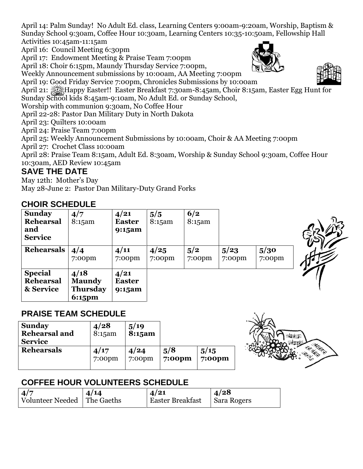April 14: Palm Sunday! No Adult Ed. class, Learning Centers 9:00am-9:20am, Worship, Baptism & Sunday School 9:30am, Coffee Hour 10:30am, Learning Centers 10:35-10:50am, Fellowship Hall Activities 10:45am-11:15am

April 16: Council Meeting 6:30pm

April 17: Endowment Meeting & Praise Team 7:00pm

April 18: Choir 6:15pm, Maundy Thursday Service 7:00pm,

Weekly Announcement submissions by 10:00am, AA Meeting 7:00pm

April 19: Good Friday Service 7:00pm, Chronicles Submissions by 10:00am

April 21: Happy Easter!! Easter Breakfast 7:30am-8:45am, Choir 8:15am, Easter Egg Hunt for

Sunday School kids 8:45am-9:10am, No Adult Ed. or Sunday School,

Worship with communion 9:30am, No Coffee Hour

April 22-28: Pastor Dan Military Duty in North Dakota

April 23: Quilters 10:00am

April 24: Praise Team 7:00pm

April 25: Weekly Announcement Submissions by 10:00am, Choir & AA Meeting 7:00pm

April 27: Crochet Class 10:00am

April 28: Praise Team 8:15am, Adult Ed. 8:30am, Worship & Sunday School 9:30am, Coffee Hour 10:30am, AED Review 10:45am

#### **SAVE THE DATE**

May 12th: Mother's Day May 28-June 2: Pastor Dan Military-Duty Grand Forks

#### **CHOIR SCHEDULE**

| <b>Sunday</b><br><b>Rehearsal</b><br>and<br><b>Service</b> | 4/7<br>8:15am                                      | 4/21<br><b>Easter</b><br>9:15am | 5/5<br>8:15am     | 6/2<br>8:15am    |                   |                |  |
|------------------------------------------------------------|----------------------------------------------------|---------------------------------|-------------------|------------------|-------------------|----------------|--|
| <b>Rehearsals</b>                                          | 4/4<br>$7:00$ pm                                   | 4/11<br>$7:00$ pm               | 4/25<br>$7:00$ pm | 5/2<br>$7:00$ pm | 5/23<br>$7:00$ pm | 5/30<br>7:00pm |  |
| <b>Special</b><br><b>Rehearsal</b><br>& Service            | 4/18<br><b>Maundy</b><br><b>Thursday</b><br>6:15pm | 4/21<br><b>Easter</b><br>9:15am |                   |                  |                   |                |  |

#### **PRAISE TEAM SCHEDULE**

| <b>Sunday</b><br><b>Rehearsal and</b><br><b>Service</b> | 4/28<br>8:15am | 5/19<br>8:15am |           |           |
|---------------------------------------------------------|----------------|----------------|-----------|-----------|
| <b>Rehearsals</b>                                       | 4/17           | 4/24           | 5/8       | 5/15      |
|                                                         | $7:00$ pm      | $7:00$ pm      | $7:00$ pm | $7:00$ pm |



## **COFFEE HOUR VOLUNTEERS SCHEDULE**

| 4/7                           | 4/14 | $\frac{1}{4}$ /21       | $\mid$ 4/28 |
|-------------------------------|------|-------------------------|-------------|
| Volunteer Needed   The Gaeths |      | <b>Easter Breakfast</b> | Sara Rogers |



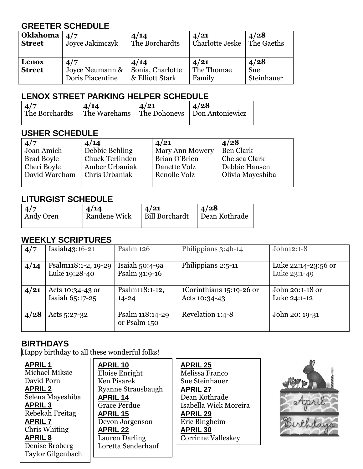## **GREETER SCHEDULE**

| Oklahoma               | 4/7                                        | 4/14                                        | 4/21                         | 4/28                             |
|------------------------|--------------------------------------------|---------------------------------------------|------------------------------|----------------------------------|
| <b>Street</b>          | Joyce Jakimczyk                            | The Borchardts                              | Charlotte Jeske              | The Gaeths                       |
| Lenox<br><b>Street</b> | 4/7<br>Joyce Neumann &<br>Doris Piacentine | 4/14<br>Sonia, Charlotte<br>& Elliott Stark | 4/21<br>The Thomae<br>Family | 4/28<br><b>Sue</b><br>Steinhauer |

#### **LENOX STREET PARKING HELPER SCHEDULE**

| $\vert 4/7$<br>The Borchardts   The Warehams   The Dohoneys   Don Antoniewicz | 4/14 | $\vert 4/21 \vert$ | $\sqrt{4/28}$ |
|-------------------------------------------------------------------------------|------|--------------------|---------------|
|                                                                               |      |                    |               |

#### **USHER SCHEDULE**

| 4/7               | 4/14                   | 4/21            | 4/28             |
|-------------------|------------------------|-----------------|------------------|
| Joan Amich        | Debbie Behling         | Mary Ann Mowery | Ben Clark        |
| <b>Brad Boyle</b> | <b>Chuck Terlinden</b> | Brian O'Brien   | Chelsea Clark    |
| Cheri Boyle       | Amber Urbaniak         | Danette Volz    | Debbie Hansen    |
| David Wareham     | Chris Urbaniak         | Renolle Volz    | Olivia Mayeshiba |
|                   |                        |                 |                  |

#### **LITURGIST SCHEDULE**

| $\sqrt{4/7}$ | 4/14                | 4/21                  | $\vert$ $\Delta/28$ |
|--------------|---------------------|-----------------------|---------------------|
| Andy Oren    | <b>Randene Wick</b> | <b>Bill Borchardt</b> | Dean Kothrade       |
|              |                     |                       |                     |

## **WEEKLY SCRIPTURES**

| 4/7  | Isaiah43:16-21                       | Psalm 126                         | Philippians 3:4b-14                       | John12:1-8                          |
|------|--------------------------------------|-----------------------------------|-------------------------------------------|-------------------------------------|
| 4/14 | Psalm118:1-2, 19-29<br>Luke 19:28-40 | Isaiah $50:4-9a$<br>Psalm 31:9-16 | Philippians 2:5-11                        | Luke 22:14-23:56 or<br>Luke 23:1-49 |
| 4/21 | Acts 10:34-43 or<br>Isaiah 65:17-25  | Psalm118:1-12,<br>$14 - 24$       | 1Corinthians 15:19-26 or<br>Acts 10:34-43 | John 20:1-18 or<br>Luke 24:1-12     |
| 4/28 | Acts $5:27-32$                       | Psalm 118:14-29<br>or Psalm 150   | Revelation 1:4-8                          | John 20: 19-31                      |

## **BIRTHDAYS**

Happy birthday to all these wonderful folks!

| <b>APRIL1</b>            |
|--------------------------|
| <b>Michael Miksic</b>    |
| David Porn               |
| <b>APRIL 2</b>           |
| Selena Mayeshiba         |
| <b>APRIL 3</b>           |
| Rebekah Freitag          |
| <b>APRIL 7</b>           |
| Chris Whiting            |
| <b>APRIL 8</b>           |
| Denise Broberg           |
| <b>Taylor Gilgenbach</b> |

**APRIL 10** Eloise Enright Ken Pisarek Ryanne Strausbaugh **APRIL 14** Grace Perdue **APRIL 15** Devon Jorgenson **APRIL 22** Lauren Darling Loretta Senderhauf

**APRIL 25** Melissa Franco Sue Steinhauer **APRIL 27** Dean Kothrade Isabella Wick Moreira **APRIL 29** Eric Bingheim **APRIL 30** Corrinne Valleskey

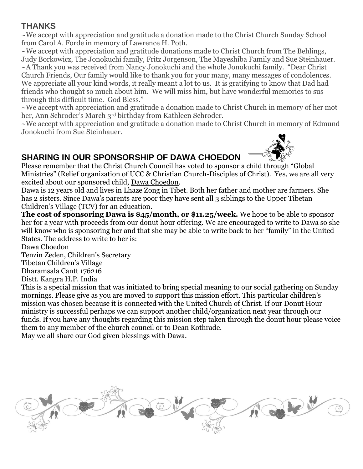## **THANKS**

~We accept with appreciation and gratitude a donation made to the Christ Church Sunday School from Carol A. Forde in memory of Lawrence H. Poth.

~We accept with appreciation and gratitude donations made to Christ Church from The Behlings, Judy Borkowicz, The Jonokuchi family, Fritz Jorgenson, The Mayeshiba Family and Sue Steinhauer. ~A Thank you was received from Nancy Jonokuchi and the whole Jonokuchi family. "Dear Christ Church Friends, Our family would like to thank you for your many, many messages of condolences. We appreciate all your kind words, it really meant a lot to us. It is gratifying to know that Dad had friends who thought so much about him. We will miss him, but have wonderful memories to sus through this difficult time. God Bless."

~We accept with appreciation and gratitude a donation made to Christ Church in memory of her mot her, Ann Schroder's March 3rd birthday from Kathleen Schroder.

~We accept with appreciation and gratitude a donation made to Christ Church in memory of Edmund Jonokuchi from Sue Steinhauer.

## **SHARING IN OUR SPONSORSHIP OF DAWA CHOEDON**

Please remember that the Christ Church Council has voted to sponsor a child through "Global Ministries" (Relief organization of UCC & Christian Church-Disciples of Christ). Yes, we are all very excited about our sponsored child, Dawa Choedon.

Dawa is 12 years old and lives in Lhaze Zong in Tibet. Both her father and mother are farmers. She has 2 sisters. Since Dawa's parents are poor they have sent all 3 siblings to the Upper Tibetan Children's Village (TCV) for an education.

**The cost of sponsoring Dawa is \$45/month, or \$11.25/week.** We hope to be able to sponsor her for a year with proceeds from our donut hour offering. We are encouraged to write to Dawa so she will know who is sponsoring her and that she may be able to write back to her "family" in the United States. The address to write to her is:

Dawa Choedon

Tenzin Zeden, Children's Secretary

Tibetan Children's Village

Dharamsala Cantt 176216

Distt. Kangra H.P. India

This is a special mission that was initiated to bring special meaning to our social gathering on Sunday mornings. Please give as you are moved to support this mission effort. This particular children's mission was chosen because it is connected with the United Church of Christ. If our Donut Hour ministry is successful perhaps we can support another child/organization next year through our funds. If you have any thoughts regarding this mission step taken through the donut hour please voice them to any member of the church council or to Dean Kothrade.

May we all share our God given blessings with Dawa.



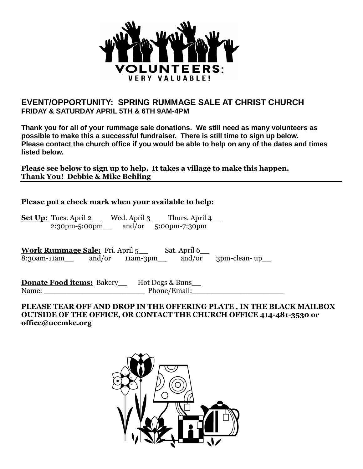

#### **EVENT/OPPORTUNITY: SPRING RUMMAGE SALE AT CHRIST CHURCH FRIDAY & SATURDAY APRIL 5TH & 6TH 9AM-4PM**

**Thank you for all of your rummage sale donations. We still need as many volunteers as possible to make this a successful fundraiser. There is still time to sign up below. Please contact the church office if you would be able to help on any of the dates and times listed below.**

**Please see below to sign up to help. It takes a village to make this happen. Thank You! Debbie & Mike Behling**

#### **Please put a check mark when your available to help:**

Set Up: Tues. April 2\_\_ Wed. April 3\_\_ Thurs. April 4\_\_ 2:30pm-5:00pm\_\_ and/or 5:00pm-7:30pm

Work Rummage Sale: Fri. April 5\_\_ Sat. April 6\_\_ 8:30am-11am\_\_ and/or 11am-3pm\_\_ and/or 3pm-clean- up\_\_

**Donate Food items:** Bakery\_\_ Hot Dogs & Buns\_\_ Name: \_\_\_\_\_\_\_\_\_\_\_\_\_\_\_\_\_\_\_\_\_\_ Phone/Email:\_\_\_\_\_\_\_\_\_\_\_\_\_\_\_\_\_\_\_\_

#### **PLEASE TEAR OFF AND DROP IN THE OFFERING PLATE , IN THE BLACK MAILBOX OUTSIDE OF THE OFFICE, OR CONTACT THE CHURCH OFFICE 414-481-3530 or office@uccmke.org**